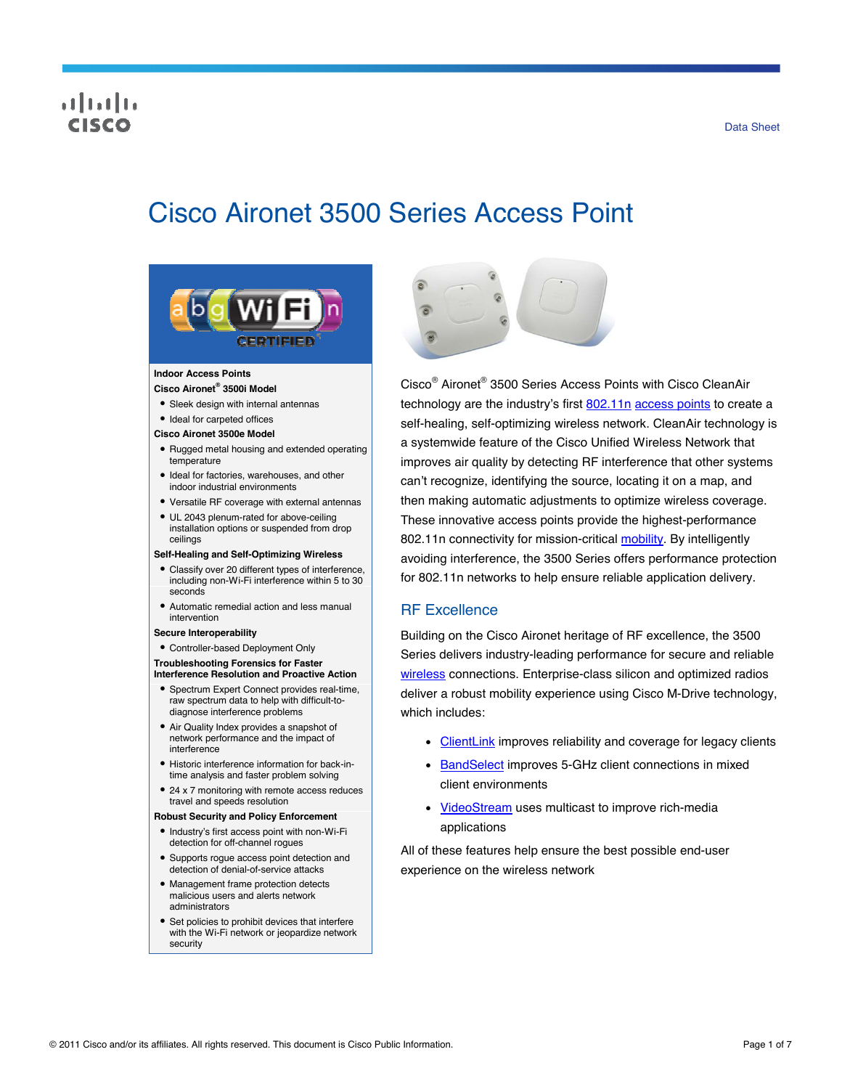## ahah risce

# Cisco Aironet 3500 Series Access Point



### **Indoor Access Points**

- **Cisco Aironet® 3500i Model**
- Sleek design with internal antennas
- Ideal for carpeted offices
- **Cisco Aironet 3500e Model**
- Rugged metal housing and extended operating temperature
- $\bullet$  Ideal for factories, warehouses, and other indoor industrial environments
- Versatile RF coverage with external antennas
- UL 2043 plenum-rated for above-ceiling installation options or suspended from drop ceilings

#### **Self-Healing and Self-Optimizing Wireless**

- Classify over 20 different types of interference, including non-Wi-Fi interference within 5 to 30 seconds
- Automatic remedial action and less manual intervention

#### **Secure Interoperability**

Controller-based Deployment Only

#### **Troubleshooting Forensics for Faster Interference Resolution and Proactive Action**

- Spectrum Expert Connect provides real-time, raw spectrum data to help with difficult-todiagnose interference problems
- Air Quality Index provides a snapshot of network performance and the impact of interference
- Historic interference information for back-intime analysis and faster problem solving
- 24 x 7 monitoring with remote access reduces travel and speeds resolution

#### **Robust Security and Policy Enforcement**

- Industry's first access point with non-Wi-Fi detection for off-channel rogues
- Supports rogue access point detection and detection of denial-of-service attacks
- Management frame protection detects malicious users and alerts network administrators
- Set policies to prohibit devices that interfere with the Wi-Fi network or jeopardize network security



Cisco® Aironet® 3500 Series Access Points with Cisco CleanAir technology are the industry's first [802.11n](http://www.cisco.com/en/US/netsol/ns767/networking_solutions_package.html) [access points](http://www.cisco.com/en/US/products/ps5678/Products_Sub_Category_Home.html) to create a self-healing, self-optimizing wireless network. CleanAir technology is a systemwide feature of the Cisco Unified Wireless Network that improves air quality by detecting RF interference that other systems can't recognize, identifying the source, locating it on a map, and then making automatic adjustments to optimize wireless coverage. These innovative access points provide the highest-performance 802.11n connectivity for mission-critical [mobility.](http://www.cisco.com/en/US/netsol/ns175/networking_solutions_solution_segment_home.html) By intelligently avoiding interference, the 3500 Series offers performance protection for 802.11n networks to help ensure reliable application delivery.

### RF Excellence

Building on the Cisco Aironet heritage of RF excellence, the 3500 Series delivers industry-leading performance for secure and reliable [wireless](http://www.cisco.com/en/US/products/hw/wireless/index.html) connections. Enterprise-class silicon and optimized radios deliver a robust mobility experience using Cisco M-Drive technology, which includes:

- [ClientLink](http://www.cisco.com/en/US/prod/collateral/wireless/ps5678/ps10092/white_paper_c11-516389_ps6973_Products_White_Paper.html) improves reliability and coverage for legacy clients
- **BandSelect** improves 5-GHz client connections in mixed client environments
- [VideoStream](http://www.cisco.com/en/US/prod/collateral/wireless/ps6302/ps8322/ps10315/ps10325/white_paper_c11-577721.html) uses multicast to improve rich-media applications

All of these features help ensure the best possible end-user experience on the wireless network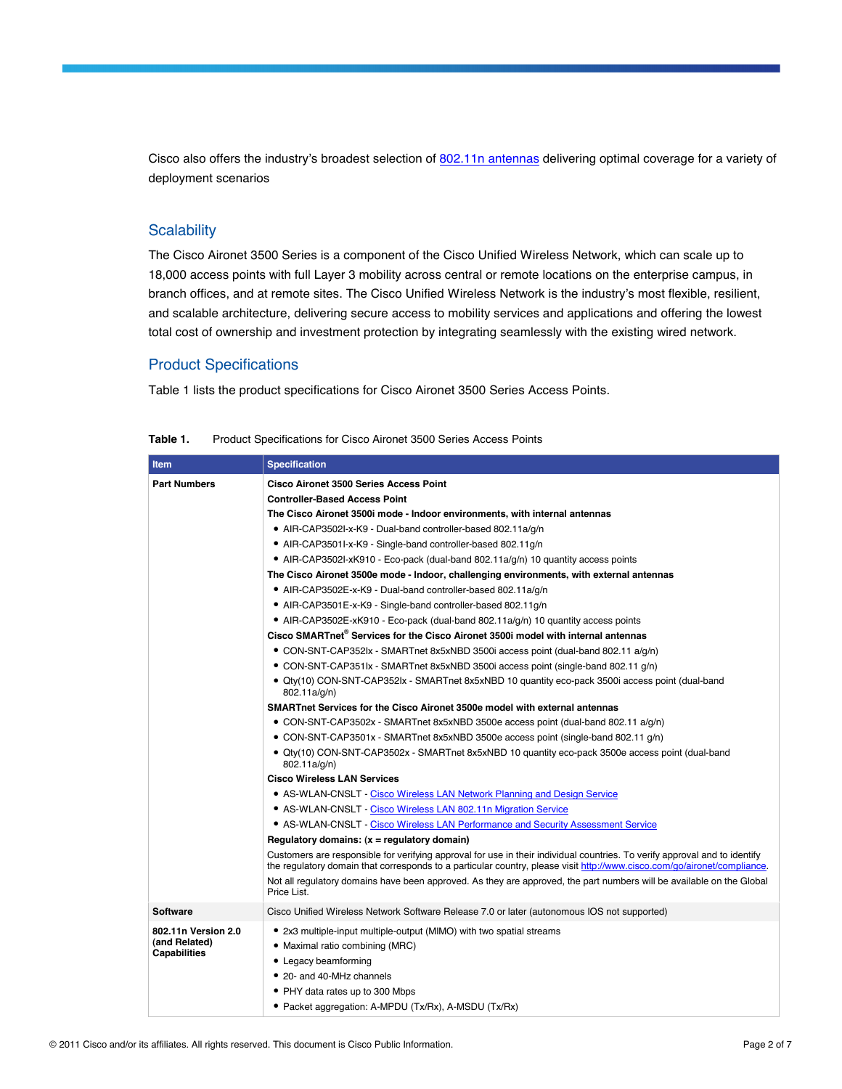Cisco also offers the industry's broadest selection of [802.11n antennas](http://www.cisco.com/en/US/prod/collateral/wireless/ps7183/ps469/at_a_glance_c45-513837.pdf) delivering optimal coverage for a variety of deployment scenarios

## **Scalability**

The Cisco Aironet 3500 Series is a component of the Cisco Unified Wireless Network, which can scale up to 18,000 access points with full Layer 3 mobility across central or remote locations on the enterprise campus, in branch offices, and at remote sites. The Cisco Unified Wireless Network is the industry's most flexible, resilient, and scalable architecture, delivering secure access to mobility services and applications and offering the lowest total cost of ownership and investment protection by integrating seamlessly with the existing wired network.

## Product Specifications

Table 1 lists the product specifications for Cisco Aironet 3500 Series Access Points.

| Item                                 | <b>Specification</b>                                                                                                                                                                                                                                   |
|--------------------------------------|--------------------------------------------------------------------------------------------------------------------------------------------------------------------------------------------------------------------------------------------------------|
| <b>Part Numbers</b>                  | <b>Cisco Aironet 3500 Series Access Point</b>                                                                                                                                                                                                          |
|                                      | <b>Controller-Based Access Point</b>                                                                                                                                                                                                                   |
|                                      | The Cisco Aironet 3500i mode - Indoor environments, with internal antennas                                                                                                                                                                             |
|                                      | • AIR-CAP3502I-x-K9 - Dual-band controller-based 802.11a/g/n                                                                                                                                                                                           |
|                                      | • AIR-CAP3501I-x-K9 - Single-band controller-based 802.11g/n                                                                                                                                                                                           |
|                                      | • AIR-CAP3502I-xK910 - Eco-pack (dual-band 802.11a/g/n) 10 quantity access points                                                                                                                                                                      |
|                                      | The Cisco Aironet 3500e mode - Indoor, challenging environments, with external antennas                                                                                                                                                                |
|                                      | • AIR-CAP3502E-x-K9 - Dual-band controller-based 802.11a/g/n                                                                                                                                                                                           |
|                                      | • AIR-CAP3501E-x-K9 - Single-band controller-based 802.11g/n                                                                                                                                                                                           |
|                                      | • AIR-CAP3502E-xK910 - Eco-pack (dual-band 802.11a/g/n) 10 quantity access points                                                                                                                                                                      |
|                                      | Cisco SMARTnet® Services for the Cisco Aironet 3500i model with internal antennas                                                                                                                                                                      |
|                                      | • CON-SNT-CAP352lx - SMARTnet 8x5xNBD 3500i access point (dual-band 802.11 a/q/n)                                                                                                                                                                      |
|                                      | • CON-SNT-CAP351lx - SMARTnet 8x5xNBD 3500i access point (single-band 802.11 g/n)                                                                                                                                                                      |
|                                      | · Qty(10) CON-SNT-CAP352lx - SMARTnet 8x5xNBD 10 quantity eco-pack 3500i access point (dual-band<br>802.11a/g/n)                                                                                                                                       |
|                                      | SMARTnet Services for the Cisco Aironet 3500e model with external antennas                                                                                                                                                                             |
|                                      | • CON-SNT-CAP3502x - SMARTnet 8x5xNBD 3500e access point (dual-band 802.11 a/g/n)                                                                                                                                                                      |
|                                      | • CON-SNT-CAP3501x - SMARTnet 8x5xNBD 3500e access point (single-band 802.11 g/n)                                                                                                                                                                      |
|                                      | • Qty(10) CON-SNT-CAP3502x - SMARTnet 8x5xNBD 10 quantity eco-pack 3500e access point (dual-band<br>802.11a/g/n)                                                                                                                                       |
|                                      | <b>Cisco Wireless LAN Services</b>                                                                                                                                                                                                                     |
|                                      | • AS-WLAN-CNSLT - Cisco Wireless LAN Network Planning and Design Service                                                                                                                                                                               |
|                                      | • AS-WLAN-CNSLT - Cisco Wireless LAN 802.11n Migration Service                                                                                                                                                                                         |
|                                      | • AS-WLAN-CNSLT - Cisco Wireless LAN Performance and Security Assessment Service                                                                                                                                                                       |
|                                      | Regulatory domains: (x = regulatory domain)                                                                                                                                                                                                            |
|                                      | Customers are responsible for verifying approval for use in their individual countries. To verify approval and to identify<br>the regulatory domain that corresponds to a particular country, please visit http://www.cisco.com/go/aironet/compliance. |
|                                      | Not all regulatory domains have been approved. As they are approved, the part numbers will be available on the Global<br>Price List.                                                                                                                   |
| <b>Software</b>                      | Cisco Unified Wireless Network Software Release 7.0 or later (autonomous IOS not supported)                                                                                                                                                            |
| 802.11n Version 2.0                  | • 2x3 multiple-input multiple-output (MIMO) with two spatial streams                                                                                                                                                                                   |
| (and Related)<br><b>Capabilities</b> | • Maximal ratio combining (MRC)                                                                                                                                                                                                                        |
|                                      | • Legacy beamforming                                                                                                                                                                                                                                   |
|                                      | • 20- and 40-MHz channels                                                                                                                                                                                                                              |
|                                      | • PHY data rates up to 300 Mbps                                                                                                                                                                                                                        |
|                                      | • Packet aggregation: A-MPDU (Tx/Rx), A-MSDU (Tx/Rx)                                                                                                                                                                                                   |

| Table 1. | Product Specifications for Cisco Aironet 3500 Series Access Points |
|----------|--------------------------------------------------------------------|
|          |                                                                    |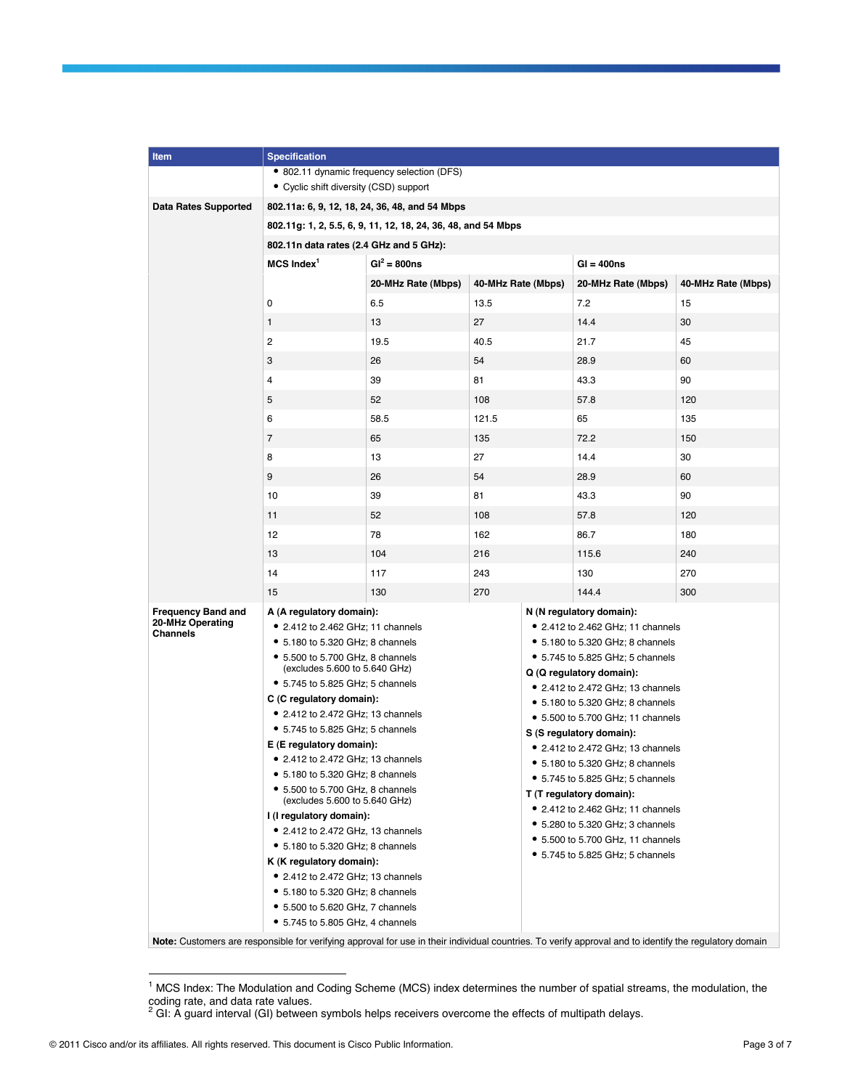| Item                                                                                                                                                   | <b>Specification</b>                                                  |                                          |                                  |                                                                      |                    |     |  |
|--------------------------------------------------------------------------------------------------------------------------------------------------------|-----------------------------------------------------------------------|------------------------------------------|----------------------------------|----------------------------------------------------------------------|--------------------|-----|--|
|                                                                                                                                                        | • 802.11 dynamic frequency selection (DFS)                            |                                          |                                  |                                                                      |                    |     |  |
|                                                                                                                                                        | • Cyclic shift diversity (CSD) support                                |                                          |                                  |                                                                      |                    |     |  |
| <b>Data Rates Supported</b>                                                                                                                            | 802.11a: 6, 9, 12, 18, 24, 36, 48, and 54 Mbps                        |                                          |                                  |                                                                      |                    |     |  |
|                                                                                                                                                        | 802.11g: 1, 2, 5.5, 6, 9, 11, 12, 18, 24, 36, 48, and 54 Mbps         |                                          |                                  |                                                                      |                    |     |  |
|                                                                                                                                                        | 802.11n data rates (2.4 GHz and 5 GHz):                               |                                          |                                  |                                                                      |                    |     |  |
|                                                                                                                                                        | $MCS$ Index <sup>1</sup>                                              | $GI^2 = 800ns$                           |                                  |                                                                      | $Gl = 400ns$       |     |  |
|                                                                                                                                                        |                                                                       | 20-MHz Rate (Mbps)<br>40-MHz Rate (Mbps) |                                  | 20-MHz Rate (Mbps)                                                   | 40-MHz Rate (Mbps) |     |  |
|                                                                                                                                                        | 0                                                                     | 6.5                                      | 13.5                             |                                                                      | 7.2                | 15  |  |
|                                                                                                                                                        | $\mathbf{1}$                                                          | 13                                       | 27                               |                                                                      | 14.4               | 30  |  |
|                                                                                                                                                        | $\overline{c}$                                                        | 19.5                                     | 40.5                             |                                                                      | 21.7               | 45  |  |
|                                                                                                                                                        | 3                                                                     | 26                                       | 54                               |                                                                      | 28.9               | 60  |  |
|                                                                                                                                                        | 4                                                                     | 39                                       | 81                               |                                                                      | 43.3               | 90  |  |
|                                                                                                                                                        | 5                                                                     | 52                                       | 108                              |                                                                      | 57.8               | 120 |  |
|                                                                                                                                                        | 6                                                                     | 58.5                                     | 121.5                            |                                                                      | 65                 | 135 |  |
|                                                                                                                                                        | $\overline{7}$                                                        | 65                                       | 135                              |                                                                      | 72.2               | 150 |  |
|                                                                                                                                                        | 8                                                                     | 13                                       |                                  |                                                                      | 14.4               | 30  |  |
|                                                                                                                                                        |                                                                       |                                          | 27                               |                                                                      |                    |     |  |
|                                                                                                                                                        | 9                                                                     | 26                                       | 54                               |                                                                      | 28.9               | 60  |  |
|                                                                                                                                                        | 10                                                                    | 39                                       | 81                               |                                                                      | 43.3               | 90  |  |
|                                                                                                                                                        | 11                                                                    | 52                                       | 108                              |                                                                      | 57.8               | 120 |  |
|                                                                                                                                                        | 12                                                                    | 78                                       | 162                              |                                                                      | 86.7               | 180 |  |
|                                                                                                                                                        | 13                                                                    | 104                                      | 216                              |                                                                      | 115.6              | 240 |  |
|                                                                                                                                                        | 14                                                                    | 117                                      | 243                              |                                                                      | 130                | 270 |  |
|                                                                                                                                                        | 15                                                                    | 130                                      | 270                              |                                                                      | 144.4              | 300 |  |
| <b>Frequency Band and</b>                                                                                                                              | A (A regulatory domain):                                              |                                          |                                  | N (N regulatory domain):                                             |                    |     |  |
| 20-MHz Operating<br><b>Channels</b>                                                                                                                    | • 2.412 to 2.462 GHz; 11 channels                                     |                                          |                                  | • 2.412 to 2.462 GHz; 11 channels                                    |                    |     |  |
|                                                                                                                                                        | • 5.180 to 5.320 GHz; 8 channels                                      |                                          |                                  | • 5.180 to 5.320 GHz; 8 channels                                     |                    |     |  |
|                                                                                                                                                        | • 5.500 to 5.700 GHz, 8 channels<br>(excludes 5.600 to 5.640 GHz)     |                                          |                                  | • 5.745 to 5.825 GHz; 5 channels<br>Q (Q regulatory domain):         |                    |     |  |
|                                                                                                                                                        | • 5.745 to 5.825 GHz; 5 channels                                      |                                          |                                  | • 2.412 to 2.472 GHz; 13 channels                                    |                    |     |  |
|                                                                                                                                                        | C (C regulatory domain):                                              |                                          |                                  | • 5.180 to 5.320 GHz; 8 channels                                     |                    |     |  |
|                                                                                                                                                        | • 2.412 to 2.472 GHz; 13 channels                                     |                                          |                                  | • 5.500 to 5.700 GHz; 11 channels                                    |                    |     |  |
|                                                                                                                                                        | • 5.745 to 5.825 GHz; 5 channels                                      |                                          |                                  | S (S regulatory domain):                                             |                    |     |  |
|                                                                                                                                                        | E (E regulatory domain):<br>• 2.412 to 2.472 GHz; 13 channels         |                                          |                                  | • 2.412 to 2.472 GHz; 13 channels                                    |                    |     |  |
|                                                                                                                                                        | $\bullet$ 5.180 to 5.320 GHz; 8 channels                              |                                          |                                  | • 5.180 to 5.320 GHz; 8 channels                                     |                    |     |  |
|                                                                                                                                                        | • 5.500 to 5.700 GHz, 8 channels                                      |                                          |                                  | $\bullet$ 5.745 to 5.825 GHz; 5 channels<br>T (T regulatory domain): |                    |     |  |
|                                                                                                                                                        | (excludes 5.600 to 5.640 GHz)                                         |                                          |                                  | • 2.412 to 2.462 GHz; 11 channels                                    |                    |     |  |
|                                                                                                                                                        | I (I regulatory domain):                                              |                                          |                                  | • 5.280 to 5.320 GHz; 3 channels                                     |                    |     |  |
|                                                                                                                                                        | • 2.412 to 2.472 GHz, 13 channels<br>• 5.180 to 5.320 GHz; 8 channels |                                          |                                  | • 5.500 to 5.700 GHz, 11 channels                                    |                    |     |  |
|                                                                                                                                                        | K (K regulatory domain):                                              |                                          | • 5.745 to 5.825 GHz; 5 channels |                                                                      |                    |     |  |
|                                                                                                                                                        | • 2.412 to 2.472 GHz; 13 channels                                     |                                          |                                  |                                                                      |                    |     |  |
|                                                                                                                                                        | • 5.180 to 5.320 GHz; 8 channels                                      |                                          |                                  |                                                                      |                    |     |  |
|                                                                                                                                                        | • 5.500 to 5.620 GHz, 7 channels                                      |                                          |                                  |                                                                      |                    |     |  |
|                                                                                                                                                        | • 5.745 to 5.805 GHz, 4 channels                                      |                                          |                                  |                                                                      |                    |     |  |
| Note: Customers are responsible for verifying approval for use in their individual countries. To verify approval and to identify the regulatory domain |                                                                       |                                          |                                  |                                                                      |                    |     |  |

 1 MCS Index: The Modulation and Coding Scheme (MCS) index determines the number of spatial streams, the modulation, the

coding rate, and data rate values.<br><sup>2</sup> GI: A guard interval (GI) between symbols helps receivers overcome the effects of multipath delays.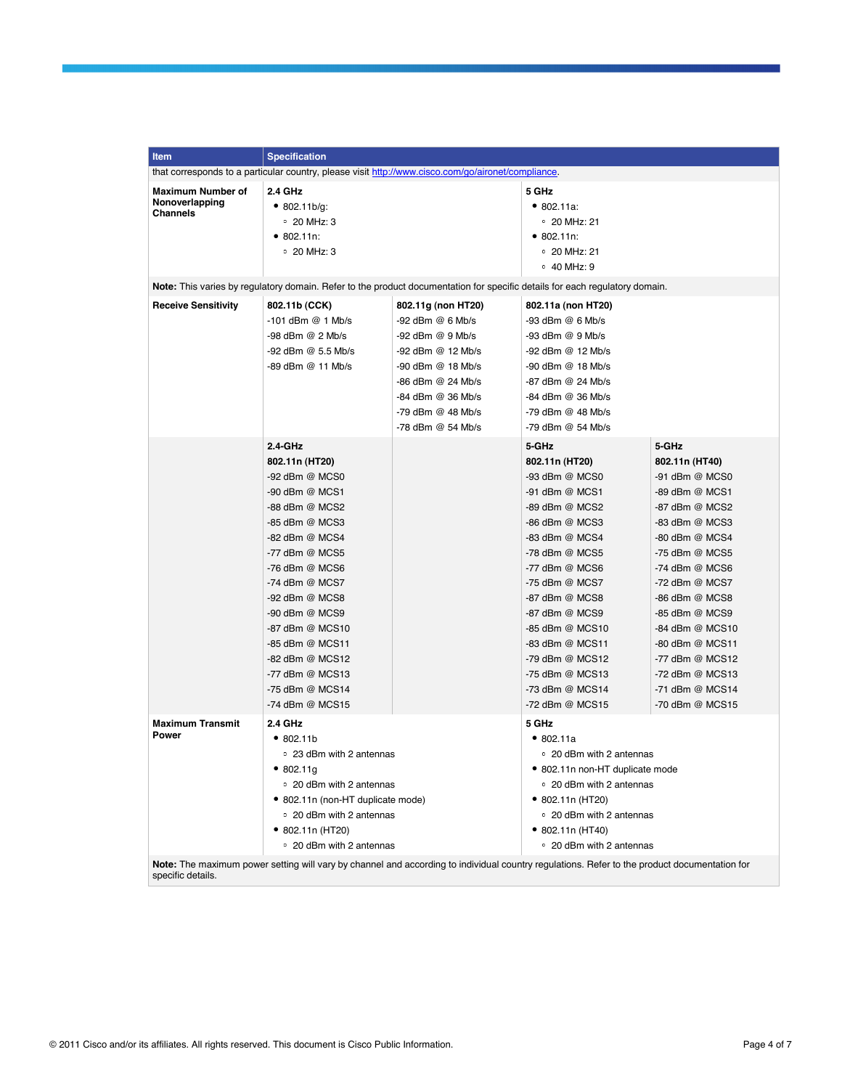| Item                                                                                               | <b>Specification</b>                                                                                                                                                                                                                                                                               |                                                                                                                                                                                          |                                                                                                                                                                                                                                                                                                    |                                                                                                                                                                                                                                                                                                    |
|----------------------------------------------------------------------------------------------------|----------------------------------------------------------------------------------------------------------------------------------------------------------------------------------------------------------------------------------------------------------------------------------------------------|------------------------------------------------------------------------------------------------------------------------------------------------------------------------------------------|----------------------------------------------------------------------------------------------------------------------------------------------------------------------------------------------------------------------------------------------------------------------------------------------------|----------------------------------------------------------------------------------------------------------------------------------------------------------------------------------------------------------------------------------------------------------------------------------------------------|
| that corresponds to a particular country, please visit http://www.cisco.com/go/aironet/compliance. |                                                                                                                                                                                                                                                                                                    |                                                                                                                                                                                          |                                                                                                                                                                                                                                                                                                    |                                                                                                                                                                                                                                                                                                    |
| Maximum Number of<br>Nonoverlapping<br>Channels                                                    | 2.4 GHz<br>• 802.11b/g:<br>$\degree$ 20 MHz: 3<br>• 802.11n:<br>∘ 20 MHz: 3                                                                                                                                                                                                                        |                                                                                                                                                                                          | 5 GHz<br>• 802.11a.<br>∘ 20 MHz: 21<br>• 802.11n:<br>$\degree$ 20 MHz: 21<br>∘ 40 MHz: 9                                                                                                                                                                                                           |                                                                                                                                                                                                                                                                                                    |
|                                                                                                    | Note: This varies by regulatory domain. Refer to the product documentation for specific details for each regulatory domain.                                                                                                                                                                        |                                                                                                                                                                                          |                                                                                                                                                                                                                                                                                                    |                                                                                                                                                                                                                                                                                                    |
| <b>Receive Sensitivity</b>                                                                         | 802.11b (CCK)<br>$-101$ dBm $@1$ Mb/s<br>-98 dBm @ 2 Mb/s<br>-92 dBm @ 5.5 Mb/s<br>-89 dBm @ 11 Mb/s                                                                                                                                                                                               | 802.11g (non HT20)<br>-92 dBm @ 6 Mb/s<br>-92 dBm @ 9 Mb/s<br>-92 dBm @ 12 Mb/s<br>-90 dBm @ 18 Mb/s<br>-86 dBm @ 24 Mb/s<br>-84 dBm @ 36 Mb/s<br>-79 dBm @ 48 Mb/s<br>-78 dBm @ 54 Mb/s | 802.11a (non HT20)<br>-93 dBm @ 6 Mb/s<br>$-93$ dBm $@9$ Mb/s<br>-92 dBm @ 12 Mb/s<br>-90 dBm @ 18 Mb/s<br>$-87$ dBm $@$ 24 Mb/s<br>-84 dBm @ 36 Mb/s<br>-79 dBm @ 48 Mb/s<br>-79 dBm @ 54 Mb/s                                                                                                    |                                                                                                                                                                                                                                                                                                    |
|                                                                                                    | 2.4-GHz<br>802.11n (HT20)                                                                                                                                                                                                                                                                          |                                                                                                                                                                                          | 5-GHz<br>802.11n (HT20)                                                                                                                                                                                                                                                                            | 5-GHz<br>802.11n (HT40)                                                                                                                                                                                                                                                                            |
|                                                                                                    | -92 dBm @ MCS0<br>-90 dBm @ MCS1<br>-88 dBm @ MCS2<br>-85 dBm @ MCS3<br>-82 dBm @ MCS4<br>-77 dBm @ MCS5<br>-76 dBm @ MCS6<br>-74 dBm @ MCS7<br>-92 dBm @ MCS8<br>-90 dBm @ MCS9<br>-87 dBm @ MCS10<br>-85 dBm @ MCS11<br>-82 dBm @ MCS12<br>-77 dBm @ MCS13<br>-75 dBm @ MCS14<br>-74 dBm @ MCS15 |                                                                                                                                                                                          | -93 dBm @ MCS0<br>-91 dBm @ MCS1<br>-89 dBm @ MCS2<br>-86 dBm @ MCS3<br>-83 dBm @ MCS4<br>-78 dBm @ MCS5<br>-77 dBm @ MCS6<br>-75 dBm @ MCS7<br>-87 dBm @ MCS8<br>-87 dBm @ MCS9<br>-85 dBm @ MCS10<br>-83 dBm @ MCS11<br>-79 dBm @ MCS12<br>-75 dBm @ MCS13<br>-73 dBm @ MCS14<br>-72 dBm @ MCS15 | -91 dBm @ MCS0<br>-89 dBm @ MCS1<br>-87 dBm @ MCS2<br>-83 dBm @ MCS3<br>-80 dBm @ MCS4<br>-75 dBm @ MCS5<br>-74 dBm @ MCS6<br>-72 dBm @ MCS7<br>-86 dBm @ MCS8<br>-85 dBm @ MCS9<br>-84 dBm @ MCS10<br>-80 dBm @ MCS11<br>-77 dBm @ MCS12<br>-72 dBm @ MCS13<br>-71 dBm @ MCS14<br>-70 dBm @ MCS15 |
| <b>Maximum Transmit</b><br>Power                                                                   | 2.4 GHz<br>•802.11b<br>○ 23 dBm with 2 antennas<br>•802.11g<br>• 20 dBm with 2 antennas<br>• 802.11n (non-HT duplicate mode)<br>○ 20 dBm with 2 antennas<br>• 802.11n (HT20)<br>○ 20 dBm with 2 antennas                                                                                           |                                                                                                                                                                                          | 5 GHz<br>•802.11a<br>○ 20 dBm with 2 antennas<br>• 802.11n non-HT duplicate mode<br>○ 20 dBm with 2 antennas<br>• 802.11n (HT20)<br>• 20 dBm with 2 antennas<br>• 802.11n (HT40)<br>○ 20 dBm with 2 antennas                                                                                       |                                                                                                                                                                                                                                                                                                    |

**Note:** The maximum power setting will vary by channel and according to individual country regulations. Refer to the product documentation for specific details.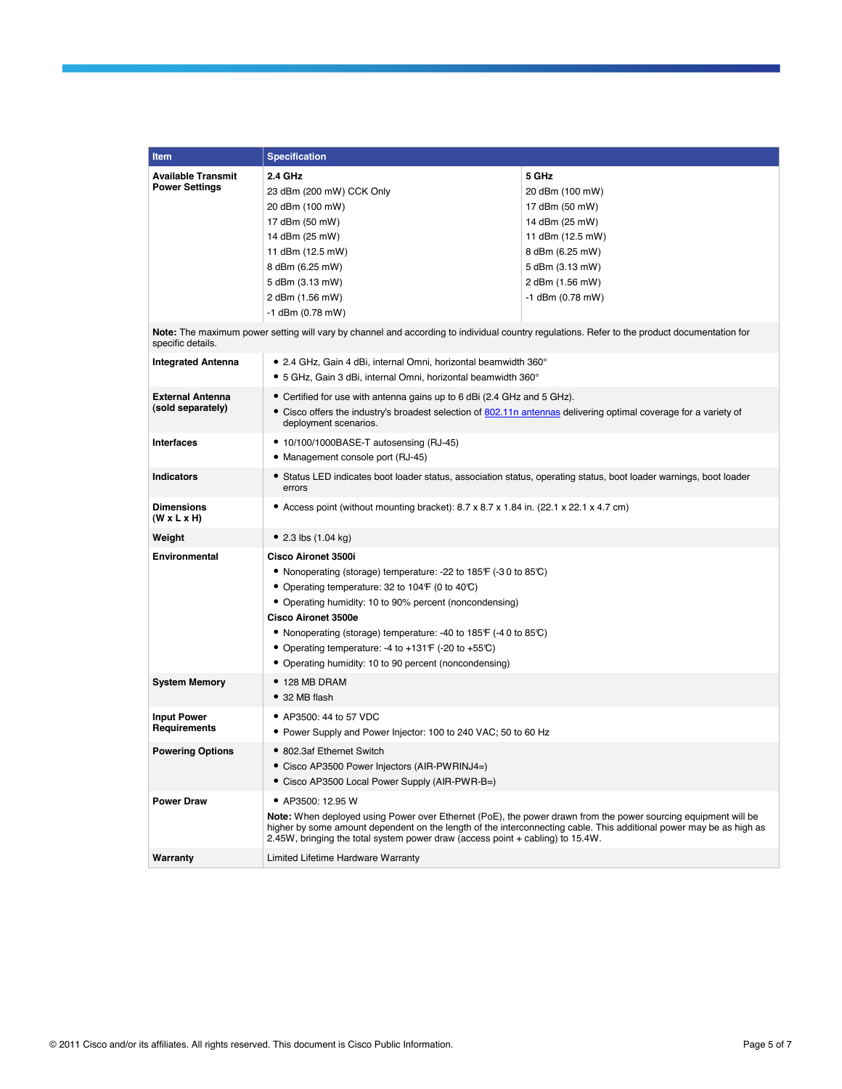| <b>Item</b>                                        | <b>Specification</b>                                                                                                                                                                                                                                                                                                    |                          |  |  |
|----------------------------------------------------|-------------------------------------------------------------------------------------------------------------------------------------------------------------------------------------------------------------------------------------------------------------------------------------------------------------------------|--------------------------|--|--|
| <b>Available Transmit</b><br><b>Power Settings</b> | 2.4 GHz<br>23 dBm (200 mW) CCK Only                                                                                                                                                                                                                                                                                     | 5 GHz<br>20 dBm (100 mW) |  |  |
|                                                    | 20 dBm (100 mW)                                                                                                                                                                                                                                                                                                         | 17 dBm (50 mW)           |  |  |
|                                                    | 17 dBm (50 mW)                                                                                                                                                                                                                                                                                                          | 14 dBm (25 mW)           |  |  |
|                                                    | 14 dBm (25 mW)                                                                                                                                                                                                                                                                                                          | 11 dBm (12.5 mW)         |  |  |
|                                                    | 11 dBm (12.5 mW)                                                                                                                                                                                                                                                                                                        | 8 dBm (6.25 mW)          |  |  |
|                                                    | 8 dBm (6.25 mW)                                                                                                                                                                                                                                                                                                         | 5 dBm (3.13 mW)          |  |  |
|                                                    | 5 dBm (3.13 mW)                                                                                                                                                                                                                                                                                                         | 2 dBm (1.56 mW)          |  |  |
|                                                    | 2 dBm (1.56 mW)                                                                                                                                                                                                                                                                                                         | -1 dBm (0.78 mW)         |  |  |
|                                                    | -1 dBm (0.78 mW)                                                                                                                                                                                                                                                                                                        |                          |  |  |
| specific details.                                  | Note: The maximum power setting will vary by channel and according to individual country regulations. Refer to the product documentation for                                                                                                                                                                            |                          |  |  |
| <b>Integrated Antenna</b>                          | $\bullet$ 2.4 GHz, Gain 4 dBi, internal Omni, horizontal beamwidth 360 $^{\circ}$                                                                                                                                                                                                                                       |                          |  |  |
|                                                    | • 5 GHz, Gain 3 dBi, internal Omni, horizontal beamwidth 360°                                                                                                                                                                                                                                                           |                          |  |  |
| <b>External Antenna</b>                            | • Certified for use with antenna gains up to 6 dBi (2.4 GHz and 5 GHz).                                                                                                                                                                                                                                                 |                          |  |  |
| (sold separately)                                  | • Cisco offers the industry's broadest selection of 802.11n antennas delivering optimal coverage for a variety of<br>deployment scenarios.                                                                                                                                                                              |                          |  |  |
| <b>Interfaces</b>                                  | • 10/100/1000BASE-T autosensing (RJ-45)                                                                                                                                                                                                                                                                                 |                          |  |  |
|                                                    | • Management console port (RJ-45)                                                                                                                                                                                                                                                                                       |                          |  |  |
| <b>Indicators</b>                                  | • Status LED indicates boot loader status, association status, operating status, boot loader warnings, boot loader<br>errors                                                                                                                                                                                            |                          |  |  |
| <b>Dimensions</b><br>(W x L x H)                   | • Access point (without mounting bracket): $8.7 \times 8.7 \times 1.84$ in. (22.1 $\times$ 22.1 $\times$ 4.7 cm)                                                                                                                                                                                                        |                          |  |  |
| Weight                                             | • 2.3 lbs $(1.04 \text{ kg})$                                                                                                                                                                                                                                                                                           |                          |  |  |
| <b>Environmental</b>                               | Cisco Aironet 3500i                                                                                                                                                                                                                                                                                                     |                          |  |  |
|                                                    | • Nonoperating (storage) temperature: -22 to 185 F (-3 0 to 85 °C)                                                                                                                                                                                                                                                      |                          |  |  |
|                                                    | • Operating temperature: 32 to 104 $\mathsf{F}$ (0 to 40°C)<br>• Operating humidity: 10 to 90% percent (noncondensing)<br><b>Cisco Aironet 3500e</b><br>• Nonoperating (storage) temperature: -40 to 185 $\mathsf{F}$ (-40 to 85 $\mathbb{C}$ )                                                                         |                          |  |  |
|                                                    |                                                                                                                                                                                                                                                                                                                         |                          |  |  |
|                                                    |                                                                                                                                                                                                                                                                                                                         |                          |  |  |
|                                                    |                                                                                                                                                                                                                                                                                                                         |                          |  |  |
|                                                    | • Operating temperature: -4 to +131 $\mathsf{F}$ (-20 to +55 $\mathbb{C}$ )<br>• Operating humidity: 10 to 90 percent (noncondensing)                                                                                                                                                                                   |                          |  |  |
|                                                    | $\bullet$ 128 MB DRAM                                                                                                                                                                                                                                                                                                   |                          |  |  |
| <b>System Memory</b>                               | • 32 MB flash                                                                                                                                                                                                                                                                                                           |                          |  |  |
| <b>Input Power</b>                                 | • AP3500: 44 to 57 VDC                                                                                                                                                                                                                                                                                                  |                          |  |  |
| Requirements                                       | • Power Supply and Power Injector: 100 to 240 VAC; 50 to 60 Hz                                                                                                                                                                                                                                                          |                          |  |  |
| <b>Powering Options</b>                            | • 802.3af Ethernet Switch                                                                                                                                                                                                                                                                                               |                          |  |  |
|                                                    | • Cisco AP3500 Power Injectors (AIR-PWRINJ4=)                                                                                                                                                                                                                                                                           |                          |  |  |
|                                                    | • Cisco AP3500 Local Power Supply (AIR-PWR-B=)                                                                                                                                                                                                                                                                          |                          |  |  |
| <b>Power Draw</b>                                  | • AP3500: 12.95 W                                                                                                                                                                                                                                                                                                       |                          |  |  |
|                                                    | Note: When deployed using Power over Ethernet (PoE), the power drawn from the power sourcing equipment will be<br>higher by some amount dependent on the length of the interconnecting cable. This additional power may be as high as<br>2.45W, bringing the total system power draw (access point + cabling) to 15.4W. |                          |  |  |
| Warranty                                           | Limited Lifetime Hardware Warranty                                                                                                                                                                                                                                                                                      |                          |  |  |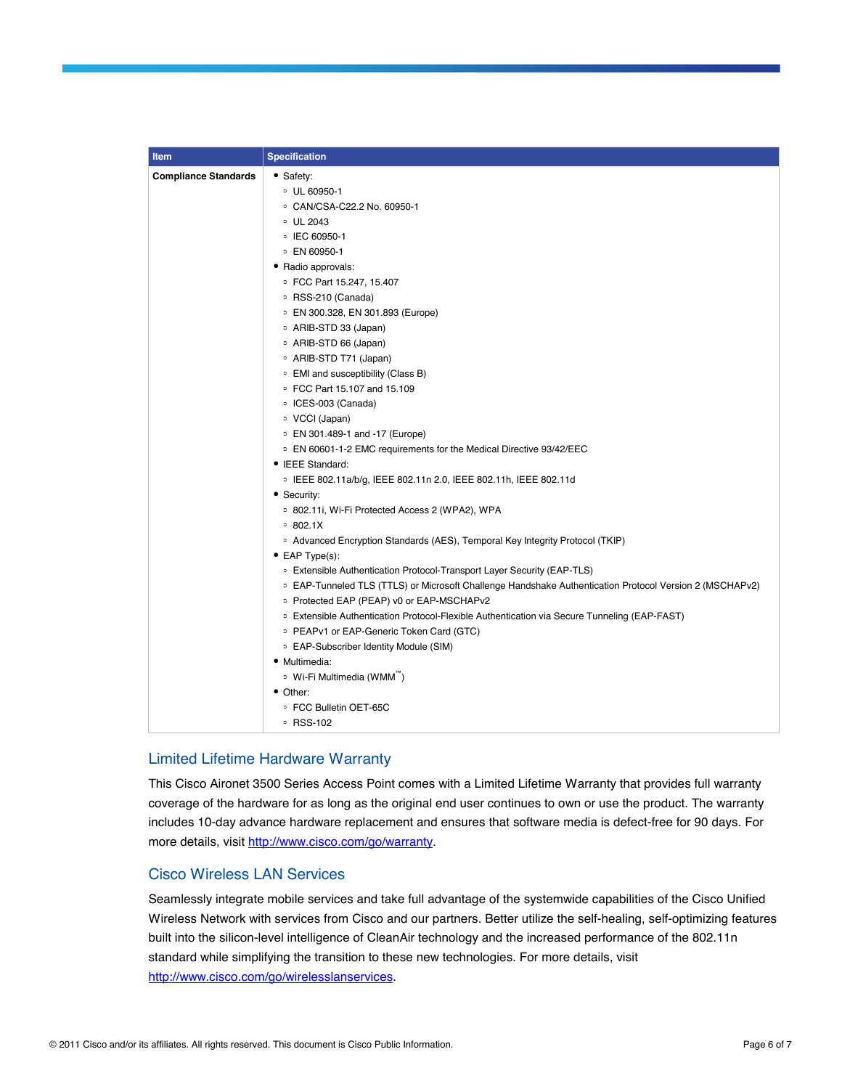| Item                        | <b>Specification</b>                                                                                               |
|-----------------------------|--------------------------------------------------------------------------------------------------------------------|
| <b>Compliance Standards</b> | • Safety:                                                                                                          |
|                             | $\degree$ UL 60950-1                                                                                               |
|                             | ○ CAN/CSA-C22.2 No. 60950-1                                                                                        |
|                             | • UL 2043                                                                                                          |
|                             | ○ IEC 60950-1                                                                                                      |
|                             | ○ EN 60950-1                                                                                                       |
|                             | • Radio approvals:                                                                                                 |
|                             | ● FCC Part 15.247, 15.407                                                                                          |
|                             | ∘ RSS-210 (Canada)                                                                                                 |
|                             | ○ EN 300.328, EN 301.893 (Europe)                                                                                  |
|                             | • ARIB-STD 33 (Japan)                                                                                              |
|                             | • ARIB-STD 66 (Japan)                                                                                              |
|                             | ∘ ARIB-STD T71 (Japan)                                                                                             |
|                             | • EMI and susceptibility (Class B)                                                                                 |
|                             | • FCC Part 15.107 and 15.109                                                                                       |
|                             | • ICES-003 (Canada)                                                                                                |
|                             | • VCCI (Japan)                                                                                                     |
|                             | • EN 301.489-1 and -17 (Europe)                                                                                    |
|                             | ○ EN 60601-1-2 EMC requirements for the Medical Directive 93/42/EEC                                                |
|                             | • IEEE Standard:                                                                                                   |
|                             | . IEEE 802.11a/b/g, IEEE 802.11n 2.0, IEEE 802.11h, IEEE 802.11d                                                   |
|                             | • Security:                                                                                                        |
|                             | ○ 802.11i, Wi-Fi Protected Access 2 (WPA2), WPA                                                                    |
|                             | 0.802.1X                                                                                                           |
|                             | ○ Advanced Encryption Standards (AES), Temporal Key Integrity Protocol (TKIP)                                      |
|                             | $\bullet$ EAP Type(s):                                                                                             |
|                             | <sup>o</sup> Extensible Authentication Protocol-Transport Layer Security (EAP-TLS)                                 |
|                             | <sup>o</sup> EAP-Tunneled TLS (TTLS) or Microsoft Challenge Handshake Authentication Protocol Version 2 (MSCHAPv2) |
|                             | • Protected EAP (PEAP) v0 or EAP-MSCHAPv2                                                                          |
|                             | <sup>o</sup> Extensible Authentication Protocol-Flexible Authentication via Secure Tunneling (EAP-FAST)            |
|                             | • PEAPv1 or EAP-Generic Token Card (GTC)                                                                           |
|                             | • EAP-Subscriber Identity Module (SIM)                                                                             |
|                             | • Multimedia:                                                                                                      |
|                             | ∘ Wi-Fi Multimedia (WMM <sup>"</sup> )                                                                             |
|                             | • Other:                                                                                                           |
|                             | ● FCC Bulletin OET-65C                                                                                             |
|                             | ∘ RSS-102                                                                                                          |

### Limited Lifetime Hardware Warranty

This Cisco Aironet 3500 Series Access Point comes with a Limited Lifetime Warranty that provides full warranty coverage of the hardware for as long as the original end user continues to own or use the product. The warranty includes 10-day advance hardware replacement and ensures that software media is defect-free for 90 days. For more details, visit [http://www.cisco.com/go/warranty.](http://www.cisco.com/go/warranty)

### Cisco Wireless LAN Services

Seamlessly integrate mobile services and take full advantage of the systemwide capabilities of the Cisco Unified Wireless Network with services from Cisco and our partners. Better utilize the self-healing, self-optimizing features built into the silicon-level intelligence of CleanAir technology and the increased performance of the 802.11n standard while simplifying the transition to these new technologies. For more details, visit [http://www.cisco.com/go/wirelesslanservices.](http://www.cisco.com/go/wirelesslanservices)